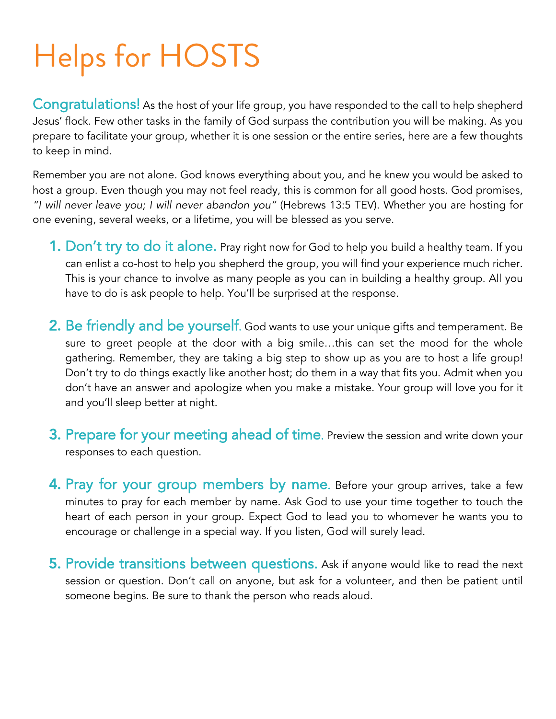# Helps for HOSTS

Congratulations! As the host of your life group, you have responded to the call to help shepherd Jesus' flock. Few other tasks in the family of God surpass the contribution you will be making. As you prepare to facilitate your group, whether it is one session or the entire series, here are a few thoughts to keep in mind.

Remember you are not alone. God knows everything about you, and he knew you would be asked to host a group. Even though you may not feel ready, this is common for all good hosts. God promises, *"I will never leave you; I will never abandon you"* (Hebrews 13:5 TEV). Whether you are hosting for one evening, several weeks, or a lifetime, you will be blessed as you serve.

- **1. Don't try to do it alone.** Pray right now for God to help you build a healthy team. If you can enlist a co-host to help you shepherd the group, you will find your experience much richer. This is your chance to involve as many people as you can in building a healthy group. All you have to do is ask people to help. You'll be surprised at the response.
- 2. Be friendly and be yourself. God wants to use your unique gifts and temperament. Be sure to greet people at the door with a big smile…this can set the mood for the whole gathering. Remember, they are taking a big step to show up as you are to host a life group! Don't try to do things exactly like another host; do them in a way that fits you. Admit when you don't have an answer and apologize when you make a mistake. Your group will love you for it and you'll sleep better at night.
- **3. Prepare for your meeting ahead of time.** Preview the session and write down your responses to each question.
- **4. Pray for your group members by name.** Before your group arrives, take a few minutes to pray for each member by name. Ask God to use your time together to touch the heart of each person in your group. Expect God to lead you to whomever he wants you to encourage or challenge in a special way. If you listen, God will surely lead.
- 5. Provide transitions between questions. Ask if anyone would like to read the next session or question. Don't call on anyone, but ask for a volunteer, and then be patient until someone begins. Be sure to thank the person who reads aloud.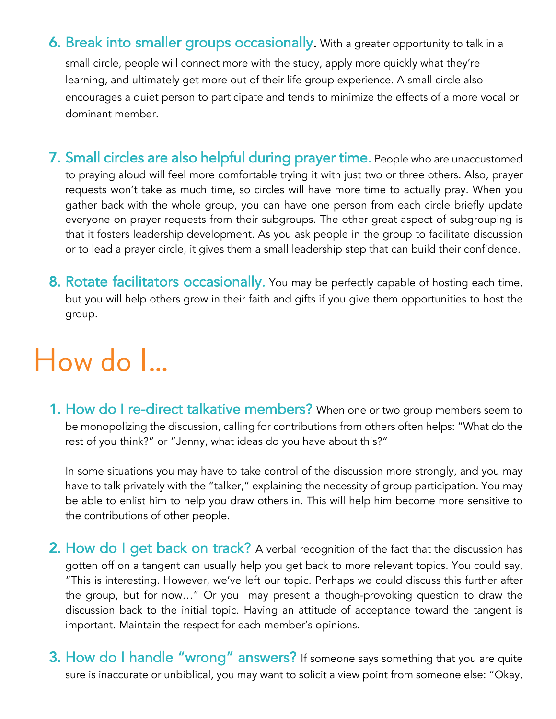6. Break into smaller groups occasionally. With a greater opportunity to talk in a small circle, people will connect more with the study, apply more quickly what they're learning, and ultimately get more out of their life group experience. A small circle also encourages a quiet person to participate and tends to minimize the effects of a more vocal or dominant member.

- 7. Small circles are also helpful during prayer time. People who are unaccustomed to praying aloud will feel more comfortable trying it with just two or three others. Also, prayer requests won't take as much time, so circles will have more time to actually pray. When you gather back with the whole group, you can have one person from each circle briefly update everyone on prayer requests from their subgroups. The other great aspect of subgrouping is that it fosters leadership development. As you ask people in the group to facilitate discussion or to lead a prayer circle, it gives them a small leadership step that can build their confidence.
- 8. Rotate facilitators occasionally. You may be perfectly capable of hosting each time, but you will help others grow in their faith and gifts if you give them opportunities to host the group.

### How do I…

1. How do I re-direct talkative members? When one or two group members seem to be monopolizing the discussion, calling for contributions from others often helps: "What do the rest of you think?" or "Jenny, what ideas do you have about this?"

In some situations you may have to take control of the discussion more strongly, and you may have to talk privately with the "talker," explaining the necessity of group participation. You may be able to enlist him to help you draw others in. This will help him become more sensitive to the contributions of other people.

- **2. How do I get back on track?** A verbal recognition of the fact that the discussion has gotten off on a tangent can usually help you get back to more relevant topics. You could say, "This is interesting. However, we've left our topic. Perhaps we could discuss this further after the group, but for now…" Or you may present a though-provoking question to draw the discussion back to the initial topic. Having an attitude of acceptance toward the tangent is important. Maintain the respect for each member's opinions.
- **3. How do I handle "wrong" answers?** If someone says something that you are quite sure is inaccurate or unbiblical, you may want to solicit a view point from someone else: "Okay,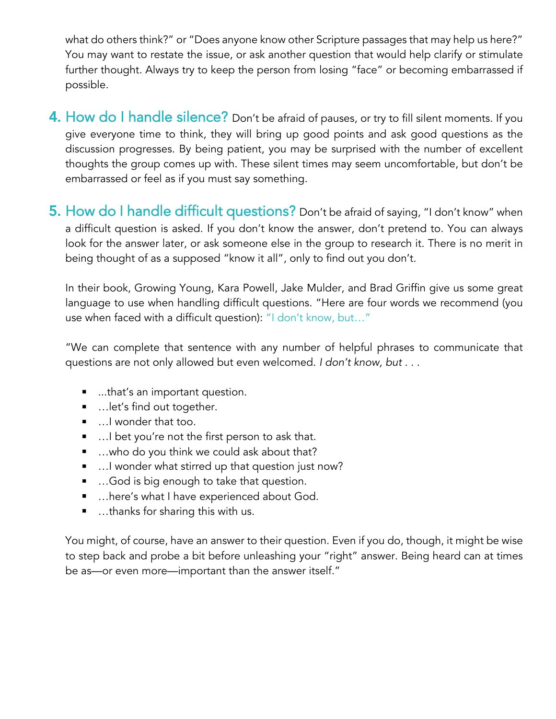what do others think?" or "Does anyone know other Scripture passages that may help us here?" You may want to restate the issue, or ask another question that would help clarify or stimulate further thought. Always try to keep the person from losing "face" or becoming embarrassed if possible.

- 4. How do I handle silence? Don't be afraid of pauses, or try to fill silent moments. If you give everyone time to think, they will bring up good points and ask good questions as the discussion progresses. By being patient, you may be surprised with the number of excellent thoughts the group comes up with. These silent times may seem uncomfortable, but don't be embarrassed or feel as if you must say something.
- 5. How do I handle difficult questions? Don't be afraid of saying, "I don't know" when a difficult question is asked. If you don't know the answer, don't pretend to. You can always look for the answer later, or ask someone else in the group to research it. There is no merit in being thought of as a supposed "know it all", only to find out you don't.

In their book, Growing Young, Kara Powell, Jake Mulder, and Brad Griffin give us some great language to use when handling difficult questions. "Here are four words we recommend (you use when faced with a difficult question): "I don't know, but…"

"We can complete that sentence with any number of helpful phrases to communicate that questions are not only allowed but even welcomed. *I don't know, but . . .*

- ...that's an important question.
- …let's find out together.
- …I wonder that too.
- …I bet you're not the first person to ask that.
- …who do you think we could ask about that?
- …I wonder what stirred up that question just now?
- …God is big enough to take that question.
- …here's what I have experienced about God.
- …thanks for sharing this with us.

You might, of course, have an answer to their question. Even if you do, though, it might be wise to step back and probe a bit before unleashing your "right" answer. Being heard can at times be as—or even more—important than the answer itself."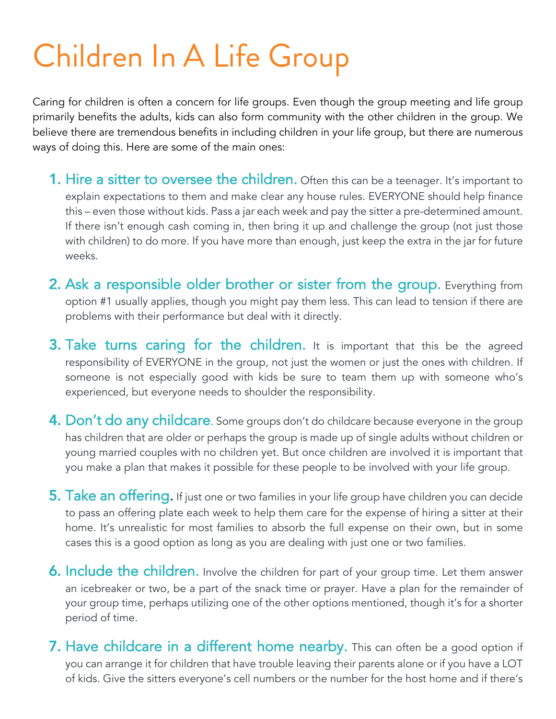## Children In A Life Group

Caring for children is often a concern for life groups. Even though the group meeting and life group primarily benefits the adults, kids can also form community with the other children in the group. We believe there are tremendous benefits in including children in your life group, but there are numerous ways of doing this. Here are some of the main ones:

- **1. Hire a sitter to oversee the children.** Often this can be a teenager. It's important to explain expectations to them and make clear any house rules. EVERYONE should help finance this – even those without kids. Pass a jar each week and pay the sitter a pre-determined amount. If there isn't enough cash coming in, then bring it up and challenge the group (not just those with children) to do more. If you have more than enough, just keep the extra in the jar for future weeks.
- 2. Ask a responsible older brother or sister from the group. Everything from option #1 usually applies, though you might pay them less. This can lead to tension if there are problems with their performance but deal with it directly.
- 3. Take turns caring for the children. It is important that this be the agreed responsibility of EVERYONE in the group, not just the women or just the ones with children. If someone is not especially good with kids be sure to team them up with someone who's experienced, but everyone needs to shoulder the responsibility.
- 4. Don't do any childcare. Some groups don't do childcare because everyone in the group has children that are older or perhaps the group is made up of single adults without children or young married couples with no children yet. But once children are involved it is important that you make a plan that makes it possible for these people to be involved with your life group.
- 5. Take an offering. If just one or two families in your life group have children you can decide to pass an offering plate each week to help them care for the expense of hiring a sitter at their home. It's unrealistic for most families to absorb the full expense on their own, but in some cases this is a good option as long as you are dealing with just one or two families.
- **6. Include the children.** Involve the children for part of your group time. Let them answer an icebreaker or two, be a part of the snack time or prayer. Have a plan for the remainder of your group time, perhaps utilizing one of the other options mentioned, though it's for a shorter period of time.
- 7. Have childcare in a different home nearby. This can often be a good option if you can arrange it for children that have trouble leaving their parents alone or if you have a LOT of kids. Give the sitters everyone's cell numbers or the number for the host home and if there's